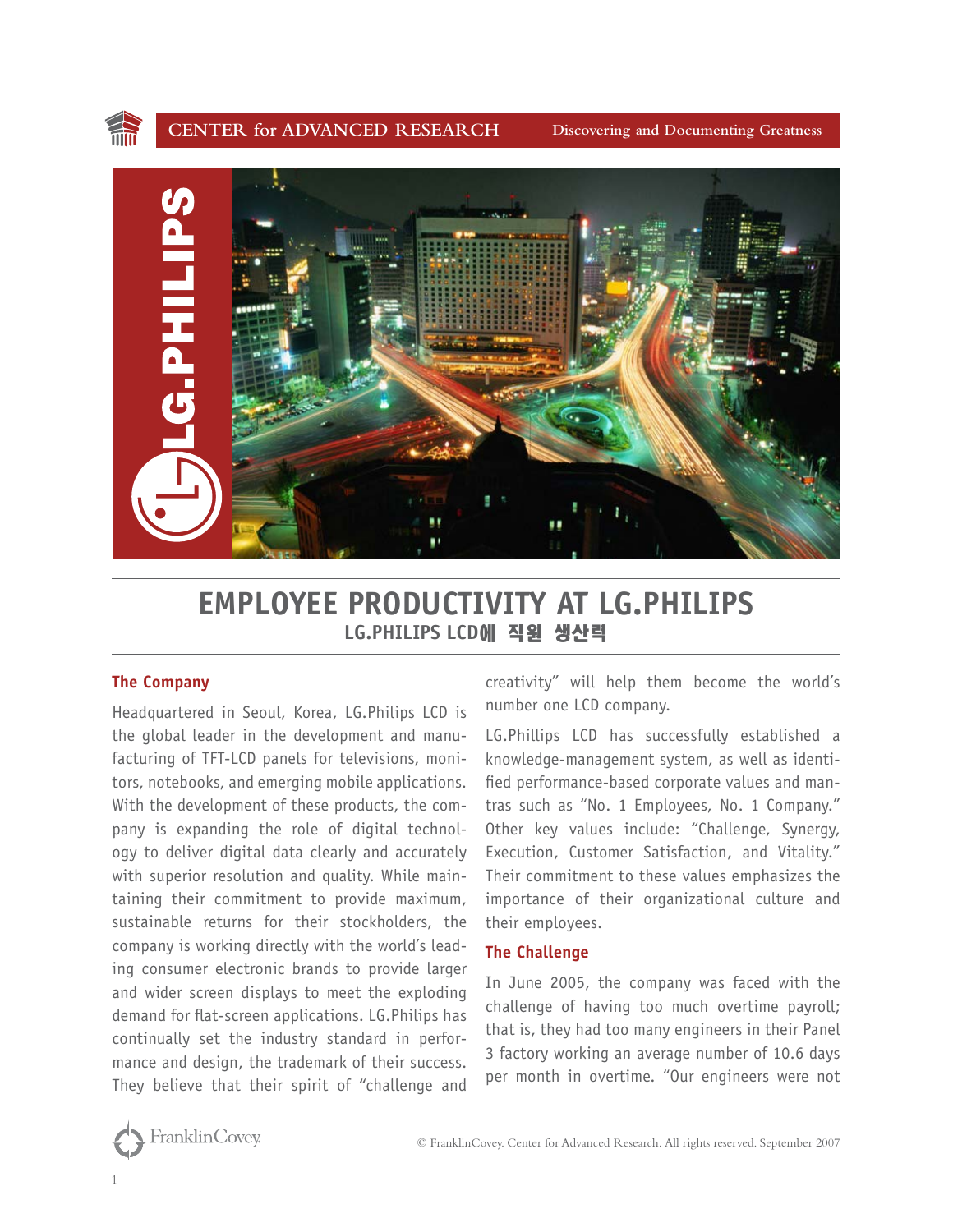## **CENTER for ADVANCED RESEARCH Discovering and Documenting Greatness**



# **EMPLOYEE PRODUCTIVITY AT LG.PHILIPS LG.PHILIPS LCD**에 직원 생산력

#### **The Company**

Headquartered in Seoul, Korea, LG.Philips LCD is the global leader in the development and manufacturing of TFT-LCD panels for televisions, monitors, notebooks, and emerging mobile applications. With the development of these products, the company is expanding the role of digital technology to deliver digital data clearly and accurately with superior resolution and quality. While maintaining their commitment to provide maximum, sustainable returns for their stockholders, the company is working directly with the world's leading consumer electronic brands to provide larger and wider screen displays to meet the exploding demand for flat-screen applications. LG.Philips has continually set the industry standard in performance and design, the trademark of their success. They believe that their spirit of "challenge and

creativity" will help them become the world's number one LCD company.

LG.Phillips LCD has successfully established a knowledge-management system, as well as identified performance-based corporate values and mantras such as "No. 1 Employees, No. 1 Company." Other key values include: "Challenge, Synergy, Execution, Customer Satisfaction, and Vitality." Their commitment to these values emphasizes the importance of their organizational culture and their employees.

#### **The Challenge**

In June 2005, the company was faced with the challenge of having too much overtime payroll; that is, they had too many engineers in their Panel 3 factory working an average number of 10.6 days per month in overtime. "Our engineers were not



1